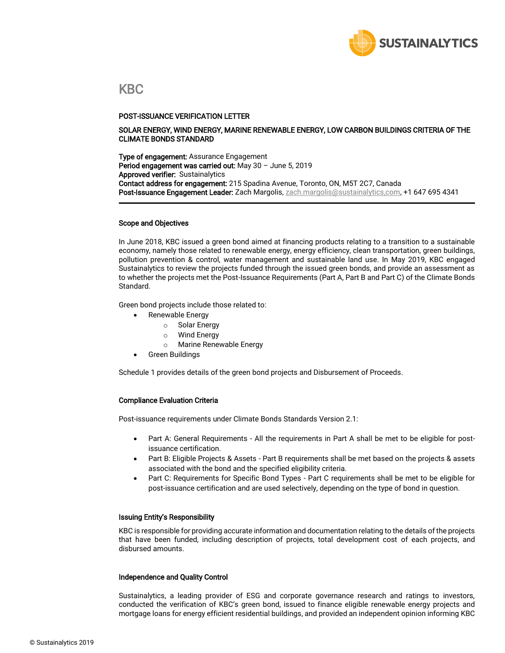

### KBC

#### POST-ISSUANCE VERIFICATION LETTER

#### SOLAR ENERGY, WIND ENERGY, MARINE RENEWABLE ENERGY, LOW CARBON BUILDINGS CRITERIA OF THE CLIMATE BONDS STANDARD

**Type of engagement:** Assurance Engagement Period engagement was carried out: May 30 – June 5, 2019 Approved verifier: Sustainalytics Contact address for engagement: 215 Spadina Avenue, Toronto, ON, M5T 2C7, Canada Post-Issuance Engagement Leader: Zach Margolis[, zach.margolis@sustainalytics,com,](mailto:vikram.puppala@sustainalytics.com) +1 647 695 4341

#### Scope and Objectives

In June 2018, KBC issued a green bond aimed at financing products relating to a transition to a sustainable economy, namely those related to renewable energy, energy efficiency, clean transportation, green buildings, pollution prevention & control, water management and sustainable land use. In May 2019, KBC engaged Sustainalytics to review the projects funded through the issued green bonds, and provide an assessment as to whether the projects met the Post-Issuance Requirements (Part A, Part B and Part C) of the Climate Bonds Standard.

Green bond projects include those related to:

- Renewable Energy
	- o Solar Energy
	- o Wind Energy
	- o Marine Renewable Energy
- Green Buildings

Schedule 1 provides details of the green bond projects and Disbursement of Proceeds.

#### Compliance Evaluation Criteria

Post-issuance requirements under Climate Bonds Standards Version 2.1:

- Part A: General Requirements All the requirements in Part A shall be met to be eligible for postissuance certification.
- Part B: Eligible Projects & Assets Part B requirements shall be met based on the projects & assets associated with the bond and the specified eligibility criteria.
- Part C: Requirements for Specific Bond Types Part C requirements shall be met to be eligible for post-issuance certification and are used selectively, depending on the type of bond in question.

#### Issuing Entity's Responsibility

KBC is responsible for providing accurate information and documentation relating to the details of the projects that have been funded, including description of projects, total development cost of each projects, and disbursed amounts.

#### Independence and Quality Control

Sustainalytics, a leading provider of ESG and corporate governance research and ratings to investors, conducted the verification of KBC's green bond, issued to finance eligible renewable energy projects and mortgage loans for energy efficient residential buildings, and provided an independent opinion informing KBC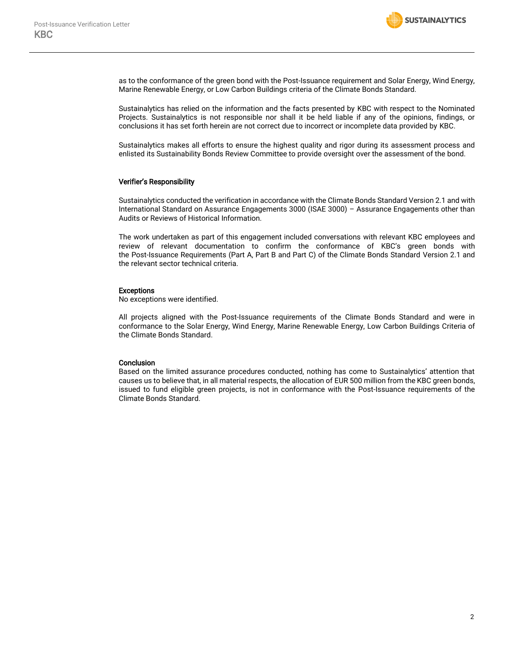

as to the conformance of the green bond with the Post-Issuance requirement and Solar Energy, Wind Energy, Marine Renewable Energy, or Low Carbon Buildings criteria of the Climate Bonds Standard.

Sustainalytics has relied on the information and the facts presented by KBC with respect to the Nominated Projects. Sustainalytics is not responsible nor shall it be held liable if any of the opinions, findings, or conclusions it has set forth herein are not correct due to incorrect or incomplete data provided by KBC.

Sustainalytics makes all efforts to ensure the highest quality and rigor during its assessment process and enlisted its Sustainability Bonds Review Committee to provide oversight over the assessment of the bond.

#### Verifier's Responsibility

Sustainalytics conducted the verification in accordance with the Climate Bonds Standard Version 2.1 and with International Standard on Assurance Engagements 3000 (ISAE 3000) – Assurance Engagements other than Audits or Reviews of Historical Information.

The work undertaken as part of this engagement included conversations with relevant KBC employees and review of relevant documentation to confirm the conformance of KBC's green bonds with the Post-Issuance Requirements (Part A, Part B and Part C) of the Climate Bonds Standard Version 2.1 and the relevant sector technical criteria.

#### Exceptions

No exceptions were identified.

All projects aligned with the Post-Issuance requirements of the Climate Bonds Standard and were in conformance to the Solar Energy, Wind Energy, Marine Renewable Energy, Low Carbon Buildings Criteria of the Climate Bonds Standard.

#### **Conclusion**

Based on the limited assurance procedures conducted, nothing has come to Sustainalytics' attention that causes us to believe that, in all material respects, the allocation of EUR 500 million from the KBC green bonds, issued to fund eligible green projects, is not in conformance with the Post-Issuance requirements of the Climate Bonds Standard.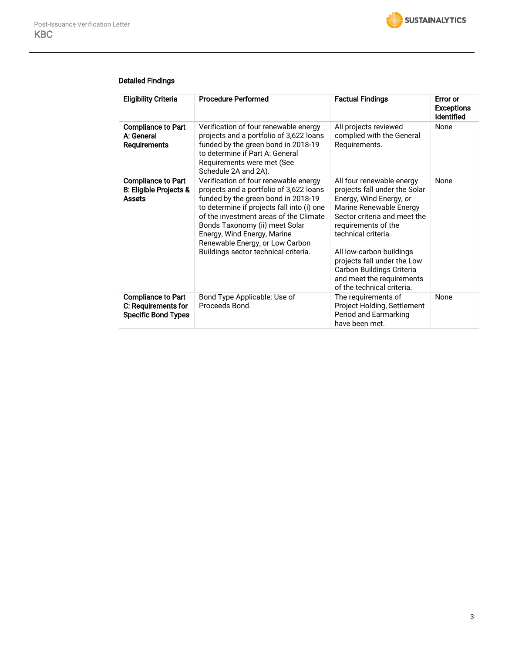

#### Detailed Findings

| <b>Eligibility Criteria</b>                                                    | <b>Procedure Performed</b>                                                                                                                                                                                                                                                                                                                                  | <b>Factual Findings</b>                                                                                                                                                                                                                                                                                                                           | <b>Error</b> or<br><b>Exceptions</b><br><b>Identified</b> |
|--------------------------------------------------------------------------------|-------------------------------------------------------------------------------------------------------------------------------------------------------------------------------------------------------------------------------------------------------------------------------------------------------------------------------------------------------------|---------------------------------------------------------------------------------------------------------------------------------------------------------------------------------------------------------------------------------------------------------------------------------------------------------------------------------------------------|-----------------------------------------------------------|
| <b>Compliance to Part</b><br>A: General<br>Requirements                        | Verification of four renewable energy<br>projects and a portfolio of 3,622 loans<br>funded by the green bond in 2018-19<br>to determine if Part A: General<br>Requirements were met (See<br>Schedule 2A and 2A).                                                                                                                                            | All projects reviewed<br>complied with the General<br>Requirements.                                                                                                                                                                                                                                                                               | None                                                      |
| <b>Compliance to Part</b><br>B: Eligible Projects &<br><b>Assets</b>           | Verification of four renewable energy<br>projects and a portfolio of 3,622 loans<br>funded by the green bond in 2018-19<br>to determine if projects fall into (i) one<br>of the investment areas of the Climate<br>Bonds Taxonomy (ii) meet Solar<br>Energy, Wind Energy, Marine<br>Renewable Energy, or Low Carbon<br>Buildings sector technical criteria. | All four renewable energy<br>projects fall under the Solar<br>Energy, Wind Energy, or<br>Marine Renewable Energy<br>Sector criteria and meet the<br>requirements of the<br>technical criteria.<br>All low-carbon buildings<br>projects fall under the Low<br>Carbon Buildings Criteria<br>and meet the requirements<br>of the technical criteria. | None                                                      |
| <b>Compliance to Part</b><br>C: Requirements for<br><b>Specific Bond Types</b> | Bond Type Applicable: Use of<br>Proceeds Bond.                                                                                                                                                                                                                                                                                                              | The requirements of<br>Project Holding, Settlement<br>Period and Earmarking<br>have been met.                                                                                                                                                                                                                                                     | None                                                      |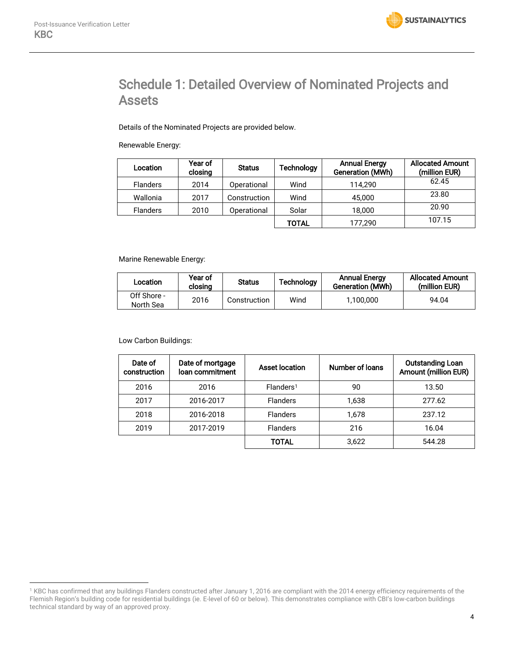$\overline{a}$ 

# Schedule 1: Detailed Overview of Nominated Projects and Assets

Details of the Nominated Projects are provided below.

Renewable Energy:

| Location        | Year of<br>closing | <b>Status</b> | Technology | <b>Annual Energy</b><br>Generation (MWh) | <b>Allocated Amount</b><br>(million EUR) |
|-----------------|--------------------|---------------|------------|------------------------------------------|------------------------------------------|
| <b>Flanders</b> | 2014               | Operational   | Wind       | 114.290                                  | 62.45                                    |
| Wallonia        | 2017               | Construction  | Wind       | 45,000                                   | 23.80                                    |
| <b>Flanders</b> | 2010               | Operational   | Solar      | 18,000                                   | 20.90                                    |
|                 |                    |               | TOTAL      | 177,290                                  | 107.15                                   |

Marine Renewable Energy:

| Location                 | Year of<br>closing | <b>Status</b> | Technology | <b>Annual Energy</b><br>Generation (MWh) | <b>Allocated Amount</b><br>(million EUR) |
|--------------------------|--------------------|---------------|------------|------------------------------------------|------------------------------------------|
| Off Shore -<br>North Sea | 2016               | Construction  | Wind       | 1,100,000                                | 94.04                                    |

Low Carbon Buildings:

| Date of<br>construction | Date of mortgage<br>loan commitment | Asset location        | Number of loans | <b>Outstanding Loan</b><br>Amount (million EUR) |
|-------------------------|-------------------------------------|-----------------------|-----------------|-------------------------------------------------|
| 2016                    | 2016                                | Flanders <sup>1</sup> | 90              | 13.50                                           |
| 2017                    | 2016-2017                           | <b>Flanders</b>       | 1,638           | 277.62                                          |
| 2018                    | 2016-2018                           | <b>Flanders</b>       | 1.678           | 237.12                                          |
| 2019                    | 2017-2019                           | <b>Flanders</b>       | 216             | 16.04                                           |
|                         |                                     | TOTAL                 | 3.622           | 544.28                                          |

<sup>1</sup> KBC has confirmed that any buildings Flanders constructed after January 1, 2016 are compliant with the 2014 energy efficiency requirements of the Flemish Region's building code for residential buildings (ie. E-level of 60 or below). This demonstrates compliance with CBI's low-carbon buildings technical standard by way of an approved proxy.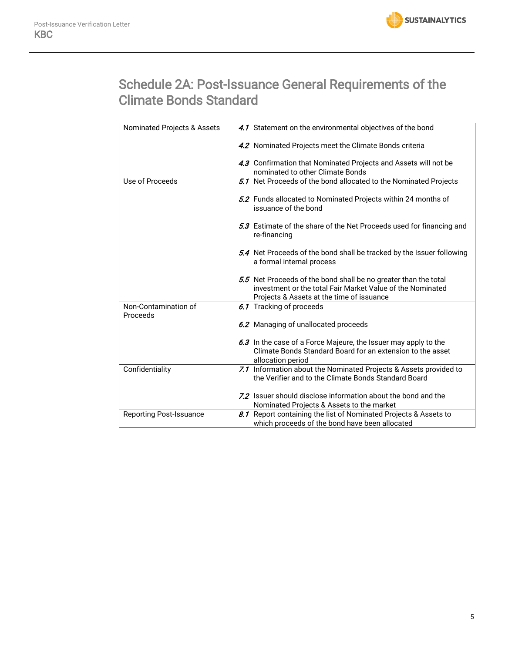

# Schedule 2A: Post-Issuance General Requirements of the Climate Bonds Standard

| Nominated Projects & Assets      | 4.1 Statement on the environmental objectives of the bond                                                                                                                  |
|----------------------------------|----------------------------------------------------------------------------------------------------------------------------------------------------------------------------|
|                                  | 4.2 Nominated Projects meet the Climate Bonds criteria                                                                                                                     |
|                                  | 4.3 Confirmation that Nominated Projects and Assets will not be                                                                                                            |
|                                  | nominated to other Climate Bonds                                                                                                                                           |
| Use of Proceeds                  | 5.1 Net Proceeds of the bond allocated to the Nominated Projects                                                                                                           |
|                                  | 5.2 Funds allocated to Nominated Projects within 24 months of<br>issuance of the bond                                                                                      |
|                                  | 5.3 Estimate of the share of the Net Proceeds used for financing and<br>re-financing                                                                                       |
|                                  | 5.4 Net Proceeds of the bond shall be tracked by the Issuer following<br>a formal internal process                                                                         |
|                                  | 5.5 Net Proceeds of the bond shall be no greater than the total<br>investment or the total Fair Market Value of the Nominated<br>Projects & Assets at the time of issuance |
| Non-Contamination of<br>Proceeds | 6.1 Tracking of proceeds                                                                                                                                                   |
|                                  | 6.2 Managing of unallocated proceeds                                                                                                                                       |
|                                  | 6.3 In the case of a Force Majeure, the Issuer may apply to the                                                                                                            |
|                                  | Climate Bonds Standard Board for an extension to the asset<br>allocation period                                                                                            |
| Confidentiality                  | 7.1 Information about the Nominated Projects & Assets provided to                                                                                                          |
|                                  | the Verifier and to the Climate Bonds Standard Board                                                                                                                       |
|                                  | 7.2 Issuer should disclose information about the bond and the                                                                                                              |
|                                  |                                                                                                                                                                            |
|                                  | Nominated Projects & Assets to the market                                                                                                                                  |
| <b>Reporting Post-Issuance</b>   | 8.1 Report containing the list of Nominated Projects & Assets to                                                                                                           |
|                                  | which proceeds of the bond have been allocated                                                                                                                             |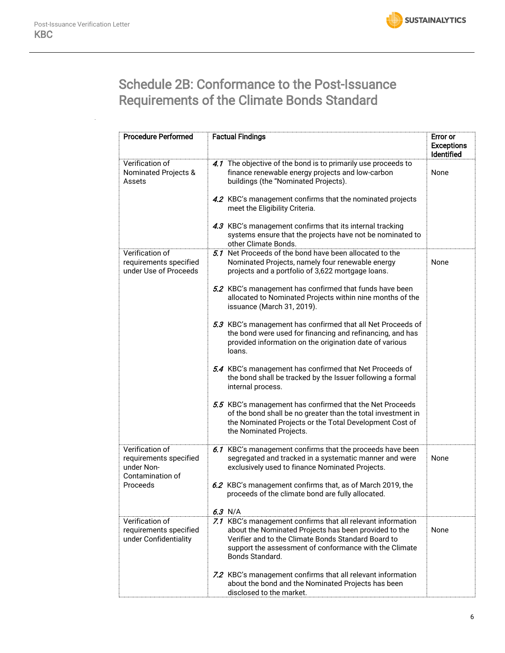# Schedule 2B: Conformance to the Post-Issuance Requirements of the Climate Bonds Standard

| <b>Procedure Performed</b>                                                  | <b>Factual Findings</b>                                                                                                                                                                                        | <b>Error or</b><br><b>Exceptions</b><br>Identified |
|-----------------------------------------------------------------------------|----------------------------------------------------------------------------------------------------------------------------------------------------------------------------------------------------------------|----------------------------------------------------|
| Verification of<br>Nominated Projects &<br>Assets                           | 4.1 The objective of the bond is to primarily use proceeds to<br>finance renewable energy projects and low-carbon<br>buildings (the "Nominated Projects).                                                      | None                                               |
|                                                                             | 4.2 KBC's management confirms that the nominated projects<br>meet the Eligibility Criteria.                                                                                                                    |                                                    |
|                                                                             | 4.3 KBC's management confirms that its internal tracking<br>systems ensure that the projects have not be nominated to<br>other Climate Bonds.                                                                  |                                                    |
| Verification of<br>requirements specified<br>under Use of Proceeds          | 5.1 Net Proceeds of the bond have been allocated to the<br>Nominated Projects, namely four renewable energy<br>projects and a portfolio of 3,622 mortgage loans.                                               | None                                               |
|                                                                             | 5.2 KBC's management has confirmed that funds have been<br>allocated to Nominated Projects within nine months of the<br>issuance (March 31, 2019).                                                             |                                                    |
|                                                                             | 5.3 KBC's management has confirmed that all Net Proceeds of<br>the bond were used for financing and refinancing, and has<br>provided information on the origination date of various<br>loans.                  |                                                    |
|                                                                             | 5.4 KBC's management has confirmed that Net Proceeds of<br>the bond shall be tracked by the Issuer following a formal<br>internal process.                                                                     |                                                    |
|                                                                             | 5.5 KBC's management has confirmed that the Net Proceeds<br>of the bond shall be no greater than the total investment in<br>the Nominated Projects or the Total Development Cost of<br>the Nominated Projects. |                                                    |
| Verification of<br>requirements specified<br>under Non-<br>Contamination of | 6.1 KBC's management confirms that the proceeds have been<br>segregated and tracked in a systematic manner and were<br>exclusively used to finance Nominated Projects.                                         | None                                               |
| Proceeds                                                                    | 6.2 KBC's management confirms that, as of March 2019, the<br>proceeds of the climate bond are fully allocated.                                                                                                 |                                                    |
| Verification of                                                             | 6.3 N/A<br>7.1 KBC's management confirms that all relevant information                                                                                                                                         |                                                    |
| requirements specified<br>under Confidentiality                             | about the Nominated Projects has been provided to the<br>Verifier and to the Climate Bonds Standard Board to<br>support the assessment of conformance with the Climate<br>Bonds Standard.                      | None                                               |
|                                                                             | 7.2 KBC's management confirms that all relevant information<br>about the bond and the Nominated Projects has been<br>disclosed to the market.                                                                  |                                                    |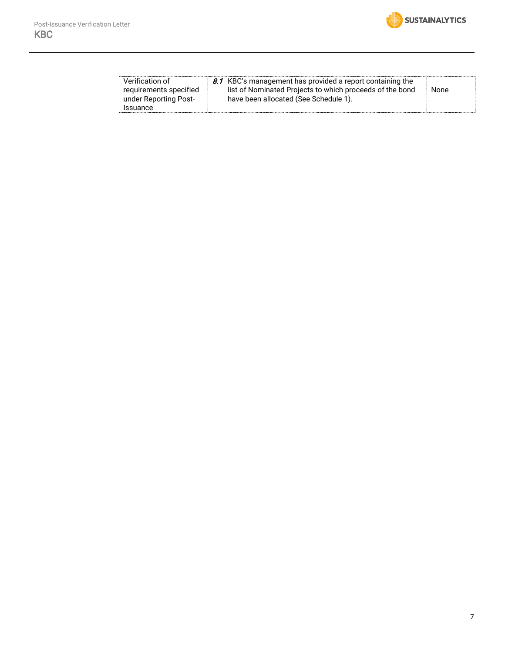

| Verification of<br>requirements specified<br>under Reporting Post-<br>Issuance | 8.1 KBC's management has provided a report containing the<br>list of Nominated Projects to which proceeds of the bond<br>have been allocated (See Schedule 1). | None |
|--------------------------------------------------------------------------------|----------------------------------------------------------------------------------------------------------------------------------------------------------------|------|
|--------------------------------------------------------------------------------|----------------------------------------------------------------------------------------------------------------------------------------------------------------|------|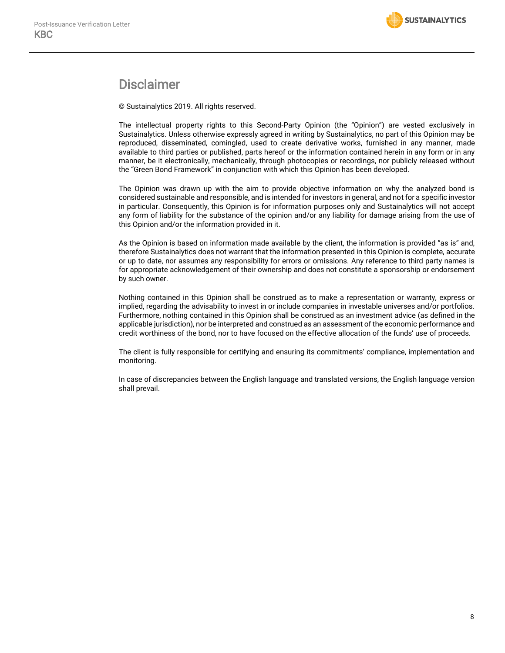## Disclaimer

© Sustainalytics 2019. All rights reserved.

The intellectual property rights to this Second-Party Opinion (the "Opinion") are vested exclusively in Sustainalytics. Unless otherwise expressly agreed in writing by Sustainalytics, no part of this Opinion may be reproduced, disseminated, comingled, used to create derivative works, furnished in any manner, made available to third parties or published, parts hereof or the information contained herein in any form or in any manner, be it electronically, mechanically, through photocopies or recordings, nor publicly released without the "Green Bond Framework" in conjunction with which this Opinion has been developed.

The Opinion was drawn up with the aim to provide objective information on why the analyzed bond is considered sustainable and responsible, and is intended for investors in general, and not for a specific investor in particular. Consequently, this Opinion is for information purposes only and Sustainalytics will not accept any form of liability for the substance of the opinion and/or any liability for damage arising from the use of this Opinion and/or the information provided in it.

As the Opinion is based on information made available by the client, the information is provided "as is" and, therefore Sustainalytics does not warrant that the information presented in this Opinion is complete, accurate or up to date, nor assumes any responsibility for errors or omissions. Any reference to third party names is for appropriate acknowledgement of their ownership and does not constitute a sponsorship or endorsement by such owner.

Nothing contained in this Opinion shall be construed as to make a representation or warranty, express or implied, regarding the advisability to invest in or include companies in investable universes and/or portfolios. Furthermore, nothing contained in this Opinion shall be construed as an investment advice (as defined in the applicable jurisdiction), nor be interpreted and construed as an assessment of the economic performance and credit worthiness of the bond, nor to have focused on the effective allocation of the funds' use of proceeds.

The client is fully responsible for certifying and ensuring its commitments' compliance, implementation and monitoring.

In case of discrepancies between the English language and translated versions, the English language version shall prevail.